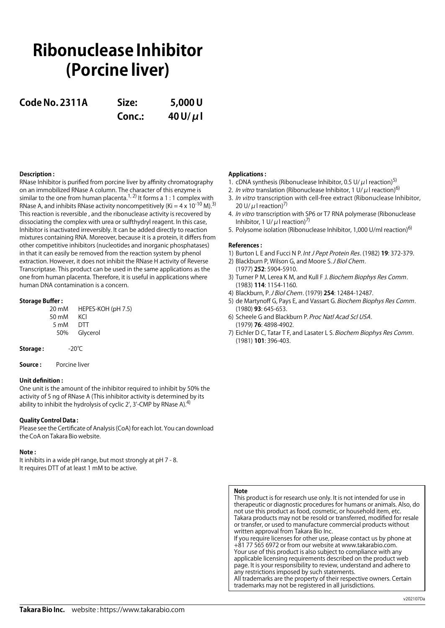# **Ribonuclease Inhibitor (Porcine liver)**

**Code No. 2311A Size: 5,000 U**

**Conc.: 40 U/μl**

## **Description :**

RNase Inhibitor is purified from porcine liver by affinity chromatography on an immobilized RNase A column. The character of this enzyme is similar to the one from human placenta.<sup>1, 2)</sup> It forms a 1 : 1 complex with RNase A, and inhibits RNase activity noncompetitively (Ki =  $4 \times 10^{-10}$  M).<sup>3)</sup> This reaction is reversible , and the ribonuclease activity is recovered by dissociating the complex with urea or sulfthydryl reagent. In this case, Inhibitor is inactivated irreversibly. It can be added directly to reaction mixtures containing RNA. Moreover, because it is a protein, it differs from other competitive inhibitors (nucleotides and inorganic phosphatases) in that it can easily be removed from the reaction system by phenol extraction. However, it does not inhibit the RNase H activity of Reverse Transcriptase. This product can be used in the same applications as the one from human placenta. Therefore, it is useful in applications where human DNA contamination is a concern.

## **Storage Buffer :**

| 20 mM | HEPES-KOH (pH 7.5) |
|-------|--------------------|
| 50 mM | KCl                |
| 5 mM  | DTT                |
| 50%   | Glycerol           |
|       |                    |

| Storage : | -20 $^{\circ}$ C |
|-----------|------------------|
|-----------|------------------|

**Source :** Porcine liver

## **Unit definition :**

One unit is the amount of the inhibitor required to inhibit by 50% the activity of 5 ng of RNase A (This inhibitor activity is determined by its ability to inhibit the hydrolysis of cyclic 2', 3'-CMP by RNase A).<sup>4)</sup>

## **Quality Control Data :**

Please see the Certificate of Analysis (CoA) for each lot. You can download the CoA on Takara Bio website.

### **Note :**

It inhibits in a wide pH range, but most strongly at pH 7 - 8. It requires DTT of at least 1 mM to be active.

## **Applications :**

- 1. cDNA synthesis (Ribonuclease Inhibitor, 0.5 U/ $\mu$ I reaction)<sup>5)</sup>
- 2. In vitro translation (Ribonuclease Inhibitor, 1 U/ $\mu$ I reaction)<sup>6)</sup>
- 3. In vitro transcription with cell-free extract (Ribonuclease Inhibitor, 20 U/ $\mu$ I reaction)<sup>7)</sup>
- 4. *In vitro* transcription with SP6 or T7 RNA polymerase (Ribonuclease) Inhibitor, 1 U/ $\mu$ I reaction)<sup>7)</sup>
- 5. Polysome isolation (Ribonuclease Inhibitor, 1,000 U/ml reaction)<sup>6)</sup>

### **References :**

- 1) Burton L E and Fucci N P. Int J Pept Protein Res. (1982) **19**: 372-379.
- 2) Blackburn P, Wilson G, and Moore S. J Biol Chem. (1977) **252**: 5904-5910.
- 3) Turner P M, Lerea K M, and Kull F J. Biochem Biophys Res Comm. (1983) **114**: 1154-1160.
- 4) Blackburn, P. J Biol Chem. (1979) **254**: 12484-12487.
- 5) de Martynoff G, Pays E, and Vassart G. Biochem Biophys Res Comm. (1980) **93**: 645-653.
- 6) Scheele G and Blackburn P. Proc Natl Acad Scl USA. (1979) **76**: 4898-4902.
- 7) Eichler D C, Tatar T F, and Lasater L S. Biochem Biophys Res Comm. (1981) **101**: 396-403.

## **Note**

This product is for research use only. It is not intended for use in therapeutic or diagnostic procedures for humans or animals. Also, do not use this product as food, cosmetic, or household item, etc. Takara products may not be resold or transferred, modified for resale or transfer, or used to manufacture commercial products without written approval from Takara Bio Inc.

If you require licenses for other use, please contact us by phone at +81 77 565 6972 or from our website at www.takarabio.com. Your use of this product is also subject to compliance with any applicable licensing requirements described on the product web page. It is your responsibility to review, understand and adhere to any restrictions imposed by such statements. All trademarks are the property of their respective owners. Certain

trademarks may not be registered in all jurisdictions.